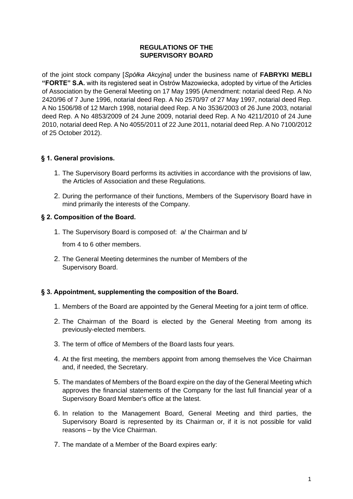## **REGULATIONS OF THE SUPERVISORY BOARD**

of the joint stock company [*Spółka Akcyjna*] under the business name of **FABRYKI MEBLI "FORTE" S.A.** with its registered seat in Ostrów Mazowiecka, adopted by virtue of the Articles of Association by the General Meeting on 17 May 1995 (Amendment: notarial deed Rep. A No 2420/96 of 7 June 1996, notarial deed Rep. A No 2570/97 of 27 May 1997, notarial deed Rep. A No 1506/98 of 12 March 1998, notarial deed Rep. A No 3536/2003 of 26 June 2003, notarial deed Rep. A No 4853/2009 of 24 June 2009, notarial deed Rep. A No 4211/2010 of 24 June 2010, notarial deed Rep. A No 4055/2011 of 22 June 2011, notarial deed Rep. A No 7100/2012 of 25 October 2012).

# **§ 1. General provisions.**

- 1. The Supervisory Board performs its activities in accordance with the provisions of law, the Articles of Association and these Regulations.
- 2. During the performance of their functions, Members of the Supervisory Board have in mind primarily the interests of the Company.

## **§ 2. Composition of the Board.**

1. The Supervisory Board is composed of: a/ the Chairman and b/

from 4 to 6 other members.

2. The General Meeting determines the number of Members of the Supervisory Board.

## **§ 3. Appointment, supplementing the composition of the Board.**

- 1. Members of the Board are appointed by the General Meeting for a joint term of office.
- 2. The Chairman of the Board is elected by the General Meeting from among its previously-elected members.
- 3. The term of office of Members of the Board lasts four years.
- 4. At the first meeting, the members appoint from among themselves the Vice Chairman and, if needed, the Secretary.
- 5. The mandates of Members of the Board expire on the day of the General Meeting which approves the financial statements of the Company for the last full financial year of a Supervisory Board Member's office at the latest.
- 6. In relation to the Management Board, General Meeting and third parties, the Supervisory Board is represented by its Chairman or, if it is not possible for valid reasons – by the Vice Chairman.
- 7. The mandate of a Member of the Board expires early: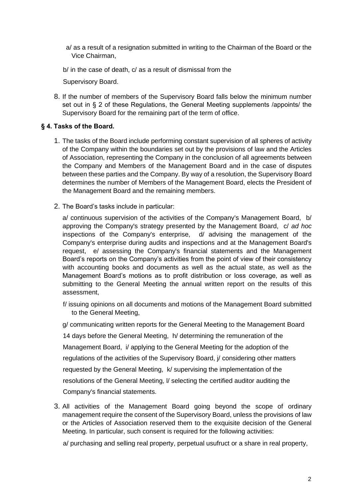a/ as a result of a resignation submitted in writing to the Chairman of the Board or the Vice Chairman,

b/ in the case of death, c/ as a result of dismissal from the

Supervisory Board.

8. If the number of members of the Supervisory Board falls below the minimum number set out in § 2 of these Regulations, the General Meeting supplements /appoints/ the Supervisory Board for the remaining part of the term of office.

## **§ 4. Tasks of the Board.**

- 1. The tasks of the Board include performing constant supervision of all spheres of activity of the Company within the boundaries set out by the provisions of law and the Articles of Association, representing the Company in the conclusion of all agreements between the Company and Members of the Management Board and in the case of disputes between these parties and the Company. By way of a resolution, the Supervisory Board determines the number of Members of the Management Board, elects the President of the Management Board and the remaining members.
- 2. The Board's tasks include in particular:

a/ continuous supervision of the activities of the Company's Management Board, b/ approving the Company's strategy presented by the Management Board, c/ *ad hoc* inspections of the Company's enterprise, d/ advising the management of the Company's enterprise during audits and inspections and at the Management Board's request, e/ assessing the Company's financial statements and the Management Board's reports on the Company's activities from the point of view of their consistency with accounting books and documents as well as the actual state, as well as the Management Board's motions as to profit distribution or loss coverage, as well as submitting to the General Meeting the annual written report on the results of this assessment,

f/ issuing opinions on all documents and motions of the Management Board submitted to the General Meeting,

g/ communicating written reports for the General Meeting to the Management Board 14 days before the General Meeting, h/ determining the remuneration of the Management Board, i/ applying to the General Meeting for the adoption of the regulations of the activities of the Supervisory Board, j/ considering other matters requested by the General Meeting, k/ supervising the implementation of the resolutions of the General Meeting, l/ selecting the certified auditor auditing the Company's financial statements.

3. All activities of the Management Board going beyond the scope of ordinary management require the consent of the Supervisory Board, unless the provisions of law or the Articles of Association reserved them to the exquisite decision of the General Meeting. In particular, such consent is required for the following activities:

a/ purchasing and selling real property, perpetual usufruct or a share in real property,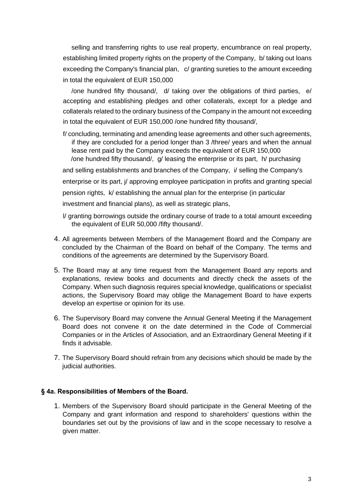selling and transferring rights to use real property, encumbrance on real property, establishing limited property rights on the property of the Company, b/ taking out loans exceeding the Company's financial plan, c/ granting sureties to the amount exceeding in total the equivalent of EUR 150,000

/one hundred fifty thousand/, d/ taking over the obligations of third parties, e/ accepting and establishing pledges and other collaterals, except for a pledge and collaterals related to the ordinary business of the Company in the amount not exceeding in total the equivalent of EUR 150,000 /one hundred fifty thousand/,

f/ concluding, terminating and amending lease agreements and other such agreements, if they are concluded for a period longer than 3 /three/ years and when the annual lease rent paid by the Company exceeds the equivalent of EUR 150,000 /one hundred fifty thousand/, g/ leasing the enterprise or its part, h/ purchasing and selling establishments and branches of the Company, i/ selling the Company's enterprise or its part, j/ approving employee participation in profits and granting special pension rights, k/ establishing the annual plan for the enterprise (in particular

investment and financial plans), as well as strategic plans,

- l/ granting borrowings outside the ordinary course of trade to a total amount exceeding the equivalent of EUR 50,000 /fifty thousand/.
- 4. All agreements between Members of the Management Board and the Company are concluded by the Chairman of the Board on behalf of the Company. The terms and conditions of the agreements are determined by the Supervisory Board.
- 5. The Board may at any time request from the Management Board any reports and explanations, review books and documents and directly check the assets of the Company. When such diagnosis requires special knowledge, qualifications or specialist actions, the Supervisory Board may oblige the Management Board to have experts develop an expertise or opinion for its use.
- 6. The Supervisory Board may convene the Annual General Meeting if the Management Board does not convene it on the date determined in the Code of Commercial Companies or in the Articles of Association, and an Extraordinary General Meeting if it finds it advisable.
- 7. The Supervisory Board should refrain from any decisions which should be made by the judicial authorities.

## **§ 4a. Responsibilities of Members of the Board.**

1. Members of the Supervisory Board should participate in the General Meeting of the Company and grant information and respond to shareholders' questions within the boundaries set out by the provisions of law and in the scope necessary to resolve a given matter.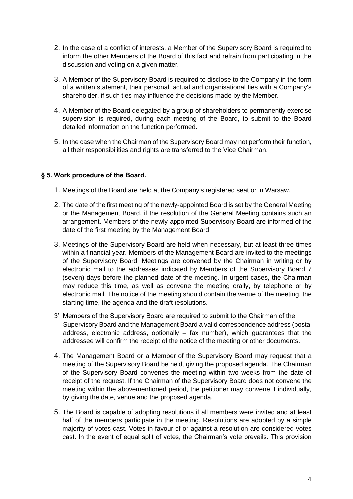- 2. In the case of a conflict of interests, a Member of the Supervisory Board is required to inform the other Members of the Board of this fact and refrain from participating in the discussion and voting on a given matter.
- 3. A Member of the Supervisory Board is required to disclose to the Company in the form of a written statement, their personal, actual and organisational ties with a Company's shareholder, if such ties may influence the decisions made by the Member.
- 4. A Member of the Board delegated by a group of shareholders to permanently exercise supervision is required, during each meeting of the Board, to submit to the Board detailed information on the function performed.
- 5. In the case when the Chairman of the Supervisory Board may not perform their function, all their responsibilities and rights are transferred to the Vice Chairman.

#### **§ 5. Work procedure of the Board.**

- 1. Meetings of the Board are held at the Company's registered seat or in Warsaw.
- 2. The date of the first meeting of the newly-appointed Board is set by the General Meeting or the Management Board, if the resolution of the General Meeting contains such an arrangement. Members of the newly-appointed Supervisory Board are informed of the date of the first meeting by the Management Board.
- 3. Meetings of the Supervisory Board are held when necessary, but at least three times within a financial year. Members of the Management Board are invited to the meetings of the Supervisory Board. Meetings are convened by the Chairman in writing or by electronic mail to the addresses indicated by Members of the Supervisory Board 7 (seven) days before the planned date of the meeting. In urgent cases, the Chairman may reduce this time, as well as convene the meeting orally, by telephone or by electronic mail. The notice of the meeting should contain the venue of the meeting, the starting time, the agenda and the draft resolutions.
- 3'. Members of the Supervisory Board are required to submit to the Chairman of the Supervisory Board and the Management Board a valid correspondence address (postal address, electronic address, optionally – fax number), which guarantees that the addressee will confirm the receipt of the notice of the meeting or other documents.
- 4. The Management Board or a Member of the Supervisory Board may request that a meeting of the Supervisory Board be held, giving the proposed agenda. The Chairman of the Supervisory Board convenes the meeting within two weeks from the date of receipt of the request. If the Chairman of the Supervisory Board does not convene the meeting within the abovementioned period, the petitioner may convene it individually, by giving the date, venue and the proposed agenda.
- 5. The Board is capable of adopting resolutions if all members were invited and at least half of the members participate in the meeting. Resolutions are adopted by a simple majority of votes cast. Votes in favour of or against a resolution are considered votes cast. In the event of equal split of votes, the Chairman's vote prevails. This provision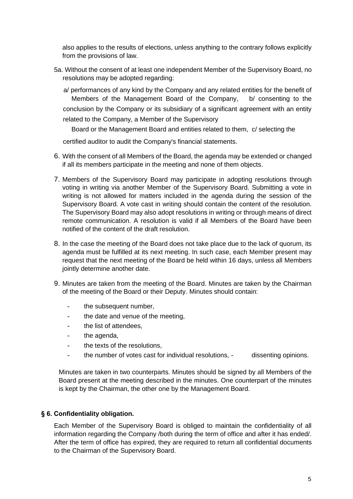also applies to the results of elections, unless anything to the contrary follows explicitly from the provisions of law.

5a. Without the consent of at least one independent Member of the Supervisory Board, no resolutions may be adopted regarding:

a/ performances of any kind by the Company and any related entities for the benefit of Members of the Management Board of the Company, b/ consenting to the conclusion by the Company or its subsidiary of a significant agreement with an entity related to the Company, a Member of the Supervisory

Board or the Management Board and entities related to them, c/ selecting the

certified auditor to audit the Company's financial statements.

- 6. With the consent of all Members of the Board, the agenda may be extended or changed if all its members participate in the meeting and none of them objects.
- 7. Members of the Supervisory Board may participate in adopting resolutions through voting in writing via another Member of the Supervisory Board. Submitting a vote in writing is not allowed for matters included in the agenda during the session of the Supervisory Board. A vote cast in writing should contain the content of the resolution. The Supervisory Board may also adopt resolutions in writing or through means of direct remote communication. A resolution is valid if all Members of the Board have been notified of the content of the draft resolution.
- 8. In the case the meeting of the Board does not take place due to the lack of quorum, its agenda must be fulfilled at its next meeting. In such case, each Member present may request that the next meeting of the Board be held within 16 days, unless all Members jointly determine another date.
- 9. Minutes are taken from the meeting of the Board. Minutes are taken by the Chairman of the meeting of the Board or their Deputy. Minutes should contain:
	- the subsequent number,
	- the date and venue of the meeting,
	- the list of attendees,
	- the agenda,
	- the texts of the resolutions,
	- the number of votes cast for individual resolutions, dissenting opinions.

Minutes are taken in two counterparts. Minutes should be signed by all Members of the Board present at the meeting described in the minutes. One counterpart of the minutes is kept by the Chairman, the other one by the Management Board.

#### **§ 6. Confidentiality obligation.**

Each Member of the Supervisory Board is obliged to maintain the confidentiality of all information regarding the Company /both during the term of office and after it has ended/. After the term of office has expired, they are required to return all confidential documents to the Chairman of the Supervisory Board.